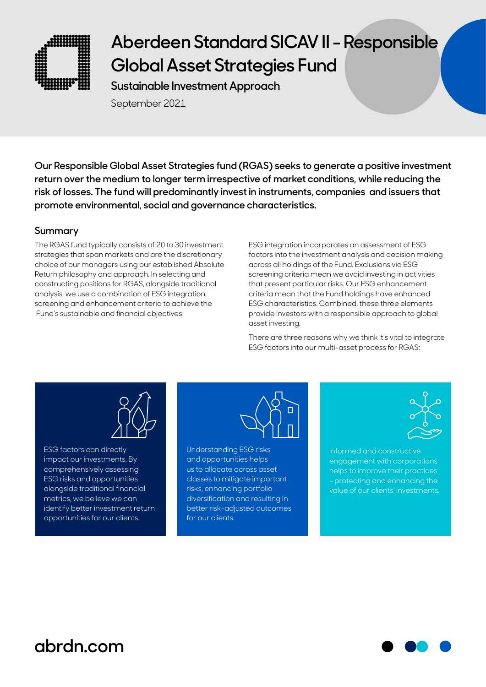

**Sustainable Investment Approach**

September 2021

**Our Responsible Global Asset Strategies fund (RGAS) seeks to generate a positive investment return over the medium to longer term irrespective of market conditions, while reducing the risk of losses. The fund will predominantly invest in instruments, companies and issuers that promote environmental, social and governance characteristics.** 

### **Summary**

The RGAS fund typically consists of 20 to 30 investment strategies that span markets and are the discretionary choice of our managers using our established Absolute Return philosophy and approach. In selecting and constructing positions for RGAS, alongside traditional analysis, we use a combination of ESG integration, screening and enhancement criteria to achieve the Fund's sustainable and financial objectives.

ESG integration incorporates an assessment of ESG factors into the investment analysis and decision making across all holdings of the Fund. Exclusions via ESG screening criteria mean we avoid investing in activities that present particular risks. Our ESG enhancement criteria mean that the Fund holdings have enhanced ESG characteristics. Combined, these three elements provide investors with a responsible approach to global asset investing.

There are three reasons why we think it's vital to integrate ESG factors into our multi-asset process for RGAS:



ESG factors can directly impact our investments. By comprehensively assessing ESG risks and opportunities alongside traditional financial metrics, we believe we can identify better investment return opportunities for our clients.



Understanding ESG risks and opportunities helps us to allocate across asset classes to mitigate important risks, enhancing portfolio diversification and resulting in better risk-adjusted outcomes for our clients.



Informed and constructive engagement with corporations helps to improve their practices – protecting and enhancing the value of our clients' investments.

## **abrdn.com**

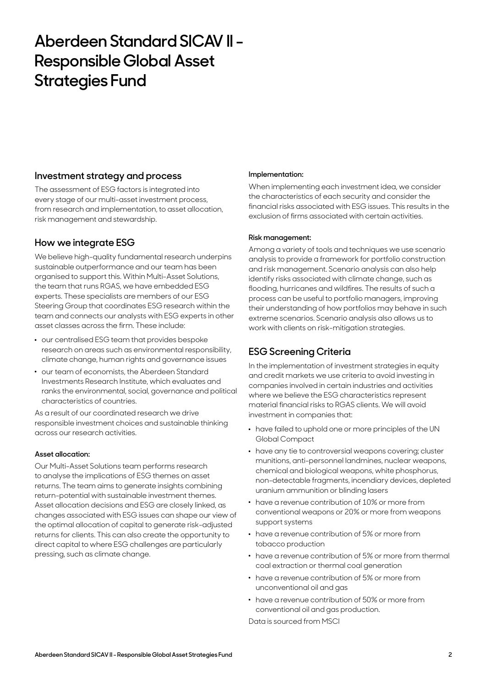### **Investment strategy and process**

The assessment of ESG factors is integrated into every stage of our multi-asset investment process, from research and implementation, to asset allocation, risk management and stewardship.

## **How we integrate ESG**

We believe high-quality fundamental research underpins sustainable outperformance and our team has been organised to support this. Within Multi-Asset Solutions, the team that runs RGAS, we have embedded ESG experts. These specialists are members of our ESG Steering Group that coordinates ESG research within the team and connects our analysts with ESG experts in other asset classes across the firm. These include:

- . our centralised ESG team that provides bespoke research on areas such as environmental responsibility, climate change, human rights and governance issues
- . our team of economists, the Aberdeen Standard Investments Research Institute, which evaluates and ranks the environmental, social, governance and political characteristics of countries.

As a result of our coordinated research we drive responsible investment choices and sustainable thinking across our research activities.

#### **Asset allocation:**

Our Multi-Asset Solutions team performs research to analyse the implications of ESG themes on asset returns. The team aims to generate insights combining return-potential with sustainable investment themes. Asset allocation decisions and ESG are closely linked, as changes associated with ESG issues can shape our view of the optimal allocation of capital to generate risk-adjusted returns for clients. This can also create the opportunity to direct capital to where ESG challenges are particularly pressing, such as climate change.

#### **Implementation:**

When implementing each investment idea, we consider the characteristics of each security and consider the financial risks associated with ESG issues. This results in the exclusion of firms associated with certain activities.

#### **Risk management:**

Among a variety of tools and techniques we use scenario analysis to provide a framework for portfolio construction and risk management. Scenario analysis can also help identify risks associated with climate change, such as flooding, hurricanes and wildfires. The results of such a process can be useful to portfolio managers, improving their understanding of how portfolios may behave in such extreme scenarios. Scenario analysis also allows us to work with clients on risk-mitigation strategies.

## **ESG Screening Criteria**

In the implementation of investment strategies in equity and credit markets we use criteria to avoid investing in companies involved in certain industries and activities where we believe the ESG characteristics represent material financial risks to RGAS clients. We will avoid investment in companies that:

- . have failed to uphold one or more principles of the UN Global Compact
- . have any tie to controversial weapons covering; cluster munitions, anti-personnel landmines, nuclear weapons, chemical and biological weapons, white phosphorus, non-detectable fragments, incendiary devices, depleted uranium ammunition or blinding lasers
- . have a revenue contribution of 10% or more from conventional weapons or 20% or more from weapons support systems
- . have a revenue contribution of 5% or more from tobacco production
- . have a revenue contribution of 5% or more from thermal coal extraction or thermal coal generation
- . have a revenue contribution of 5% or more from unconventional oil and gas
- . have a revenue contribution of 50% or more from conventional oil and gas production.

Data is sourced from MSCI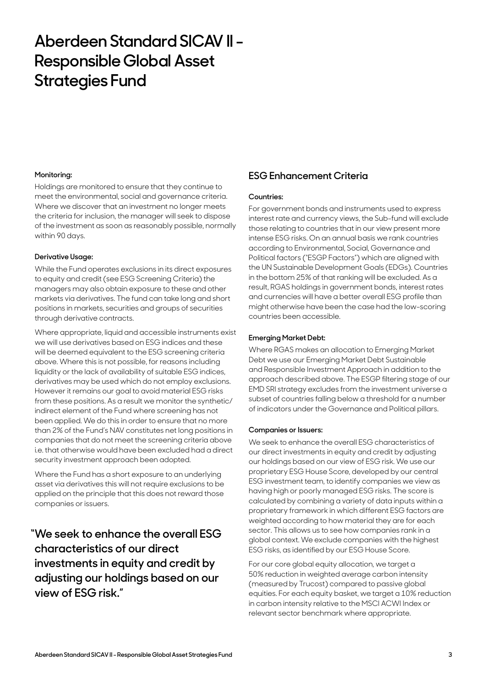#### **Monitoring:**

Holdings are monitored to ensure that they continue to meet the environmental, social and governance criteria. Where we discover that an investment no longer meets the criteria for inclusion, the manager will seek to dispose of the investment as soon as reasonably possible, normally within 90 days.

#### **Derivative Usage:**

While the Fund operates exclusions in its direct exposures to equity and credit (see ESG Screening Criteria) the managers may also obtain exposure to these and other markets via derivatives. The fund can take long and short positions in markets, securities and groups of securities through derivative contracts.

Where appropriate, liquid and accessible instruments exist we will use derivatives based on ESG indices and these will be deemed equivalent to the ESG screening criteria above. Where this is not possible, for reasons including liquidity or the lack of availability of suitable ESG indices, derivatives may be used which do not employ exclusions. However it remains our goal to avoid material ESG risks from these positions. As a result we monitor the synthetic/ indirect element of the Fund where screening has not been applied. We do this in order to ensure that no more than 2% of the Fund's NAV constitutes net long positions in companies that do not meet the screening criteria above i.e. that otherwise would have been excluded had a direct security investment approach been adopted.

Where the Fund has a short exposure to an underlying asset via derivatives this will not require exclusions to be applied on the principle that this does not reward those companies or issuers.

**"We seek to enhance the overall ESG characteristics of our direct investments in equity and credit by adjusting our holdings based on our view of ESG risk."**

### **ESG Enhancement Criteria**

#### **Countries:**

For government bonds and instruments used to express interest rate and currency views, the Sub-fund will exclude those relating to countries that in our view present more intense ESG risks. On an annual basis we rank countries according to Environmental, Social, Governance and Political factors ("ESGP Factors") which are aligned with the UN Sustainable Development Goals (EDGs). Countries in the bottom 25% of that ranking will be excluded. As a result, RGAS holdings in government bonds, interest rates and currencies will have a better overall ESG profile than might otherwise have been the case had the low-scoring countries been accessible.

#### **Emerging Market Debt:**

Where RGAS makes an allocation to Emerging Market Debt we use our Emerging Market Debt Sustainable and Responsible Investment Approach in addition to the approach described above. The ESGP filtering stage of our EMD SRI strategy excludes from the investment universe a subset of countries falling below a threshold for a number of indicators under the Governance and Political pillars.

#### **Companies or Issuers:**

We seek to enhance the overall ESG characteristics of our direct investments in equity and credit by adjusting our holdings based on our view of ESG risk. We use our proprietary ESG House Score, developed by our central ESG investment team, to identify companies we view as having high or poorly managed ESG risks. The score is calculated by combining a variety of data inputs within a proprietary framework in which different ESG factors are weighted according to how material they are for each sector. This allows us to see how companies rank in a global context. We exclude companies with the highest ESG risks, as identified by our ESG House Score.

For our core global equity allocation, we target a 50% reduction in weighted average carbon intensity (measured by Trucost) compared to passive global equities. For each equity basket, we target a 10% reduction in carbon intensity relative to the MSCI ACWI Index or relevant sector benchmark where appropriate.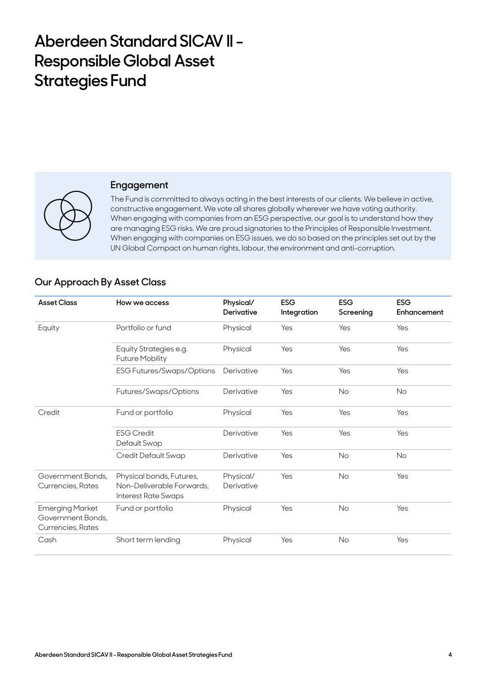

#### **Engagement**

The Fund is committed to always acting in the best interests of our clients. We believe in active, constructive engagement. We vote all shares globally wherever we have voting authority. When engaging with companies from an ESG perspective, our goal is to understand how they are managing ESG risks. We are proud signatories to the Principles of Responsible Investment. When engaging with companies on ESG issues, we do so based on the principles set out by the UN Global Compact on human rights, labour, the environment and anti-corruption.

### **Our Approach By Asset Class**

| <b>Asset Class</b>                                               | How we access                                                                | Physical/<br><b>Derivative</b> | <b>ESG</b><br>Integration | <b>ESG</b><br>Screening | <b>ESG</b><br>Enhancement |
|------------------------------------------------------------------|------------------------------------------------------------------------------|--------------------------------|---------------------------|-------------------------|---------------------------|
| Equity                                                           | Portfolio or fund                                                            | Physical                       | Yes                       | Yes                     | Yes                       |
|                                                                  | Equity Strategies e.g.<br><b>Future Mobility</b>                             | Physical                       | Yes                       | Yes                     | Yes                       |
|                                                                  | <b>ESG Futures/Swaps/Options</b>                                             | Derivative                     | Yes                       | Yes                     | Yes                       |
|                                                                  | Futures/Swaps/Options                                                        | Derivative                     | Yes                       | No                      | <b>No</b>                 |
| Credit                                                           | Fund or portfolio                                                            | Physical                       | Yes                       | Yes                     | Yes                       |
|                                                                  | <b>ESG Credit</b><br>Default Swap                                            | Derivative                     | Yes                       | Yes                     | Yes                       |
|                                                                  | Credit Default Swap                                                          | Derivative                     | Yes                       | No                      | No                        |
| Government Bonds,<br>Currencies, Rates                           | Physical bonds, Futures,<br>Non-Deliverable Forwards,<br>Interest Rate Swaps | Physical/<br>Derivative        | Yes                       | <b>No</b>               | Yes                       |
| <b>Emerging Market</b><br>Government Bonds,<br>Currencies, Rates | Fund or portfolio                                                            | Physical                       | Yes                       | <b>No</b>               | Yes                       |
| Cash                                                             | Short term lending                                                           | Physical                       | Yes                       | <b>No</b>               | Yes                       |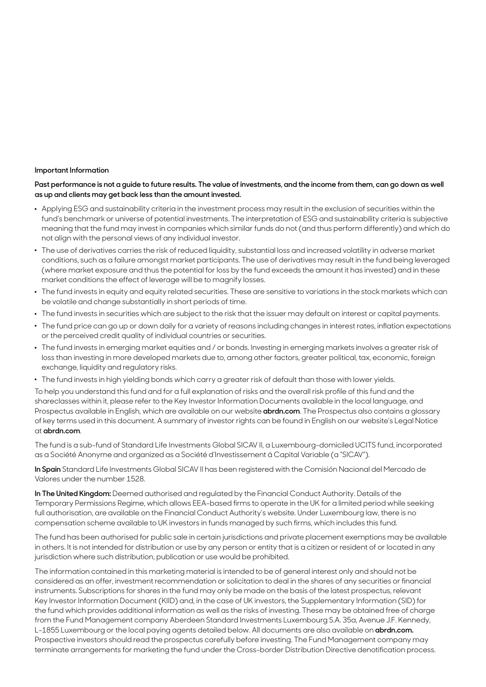#### **Important Information**

#### **Past performance is not a guide to future results. The value of investments, and the income from them, can go down as well as up and clients may get back less than the amount invested.**

- . Applying ESG and sustainability criteria in the investment process may result in the exclusion of securities within the fund's benchmark or universe of potential investments. The interpretation of ESG and sustainability criteria is subjective meaning that the fund may invest in companies which similar funds do not (and thus perform differently) and which do not align with the personal views of any individual investor.
- . The use of derivatives carries the risk of reduced liquidity, substantial loss and increased volatility in adverse market conditions, such as a failure amongst market participants. The use of derivatives may result in the fund being leveraged (where market exposure and thus the potential for loss by the fund exceeds the amount it has invested) and in these market conditions the effect of leverage will be to magnify losses.
- . The fund invests in equity and equity related securities. These are sensitive to variations in the stock markets which can be volatile and change substantially in short periods of time.
- . The fund invests in securities which are subject to the risk that the issuer may default on interest or capital payments.
- . The fund price can go up or down daily for a variety of reasons including changes in interest rates, inflation expectations or the perceived credit quality of individual countries or securities.
- . The fund invests in emerging market equities and / or bonds. Investing in emerging markets involves a greater risk of loss than investing in more developed markets due to, among other factors, greater political, tax, economic, foreign exchange, liquidity and regulatory risks.
- . The fund invests in high yielding bonds which carry a greater risk of default than those with lower yields.

To help you understand this fund and for a full explanation of risks and the overall risk profile of this fund and the shareclasses within it, please refer to the Key Investor Information Documents available in the local language, and Prospectus available in English, which are available on our website **abrd[n.com](http://www.abrdn.com)**. The Prospectus also contains a glossary of key terms used in this document. A summary of investor rights can be found in English on our website's Legal Notice at **abrdn[.com](http://www.abrdn.com)**.

The fund is a sub-fund of Standard Life Investments Global SICAV II, a Luxembourg-domiciled UCITS fund, incorporated as a Société Anonyme and organized as a Société d'Investissement á Capital Variable (a "SICAV").

**In Spain** Standard Life Investments Global SICAV II has been registered with the Comisión Nacional del Mercado de Valores under the number 1528.

**In The United Kingdom:** Deemed authorised and regulated by the Financial Conduct Authority. Details of the Temporary Permissions Regime, which allows EEA-based firms to operate in the UK for a limited period while seeking full authorisation, are available on the Financial Conduct Authority's website. Under Luxembourg law, there is no compensation scheme available to UK investors in funds managed by such firms, which includes this fund.

The fund has been authorised for public sale in certain jurisdictions and private placement exemptions may be available in others. It is not intended for distribution or use by any person or entity that is a citizen or resident of or located in any jurisdiction where such distribution, publication or use would be prohibited.

The information contained in this marketing material is intended to be of general interest only and should not be considered as an offer, investment recommendation or solicitation to deal in the shares of any securities or financial instruments. Subscriptions for shares in the fund may only be made on the basis of the latest prospectus, relevant Key Investor Information Document (KIID) and, in the case of UK investors, the Supplementary Information (SID) for the fund which provides additional information as well as the risks of investing. These may be obtained free of charge from the Fund Management company Aberdeen Standard Investments Luxembourg S.A. 35a, Avenue J.F. Kennedy, L-1855 Luxembourg or the local paying agents detailed below. All documents are also available on **abrdn[.com.](http://www.abrdn.com)**  Prospective investors should read the prospectus carefully before investing. The Fund Management company may terminate arrangements for marketing the fund under the Cross-border Distribution Directive denotification process.